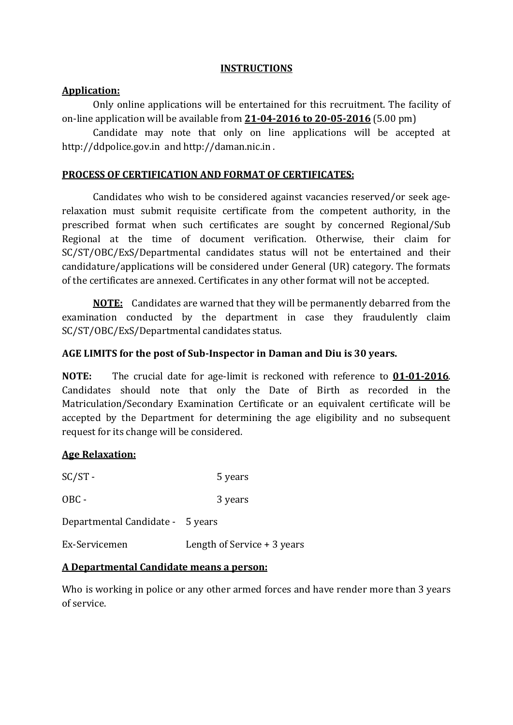### **INSTRUCTIONS**

### **Application:**

Only online applications will be entertained for this recruitment. The facility of on-line application will be available from **21-04-2016 to 20-05-2016** (5.00 pm)

Candidate may note that only on line applications will be accepted at http://ddpolice.gov.in and http://daman.nic.in .

### **PROCESS OF CERTIFICATION AND FORMAT OF CERTIFICATES:**

Candidates who wish to be considered against vacancies reserved/or seek agerelaxation must submit requisite certificate from the competent authority, in the prescribed format when such certificates are sought by concerned Regional/Sub Regional at the time of document verification. Otherwise, their claim for SC/ST/OBC/ExS/Departmental candidates status will not be entertained and their candidature/applications will be considered under General (UR) category. The formats of the certificates are annexed. Certificates in any other format will not be accepted.

**NOTE:** Candidates are warned that they will be permanently debarred from the examination conducted by the department in case they fraudulently claim SC/ST/OBC/ExS/Departmental candidates status.

### **AGE LIMITS for the post of Sub-Inspector in Daman and Diu is 30 years.**

**NOTE:** The crucial date for age-limit is reckoned with reference to **01-01-2016**. Candidates should note that only the Date of Birth as recorded in the Matriculation/Secondary Examination Certificate or an equivalent certificate will be accepted by the Department for determining the age eligibility and no subsequent request for its change will be considered.

## **Age Relaxation:**

| $SC/ST -$                        | 5 years                      |
|----------------------------------|------------------------------|
| $OBC -$                          | 3 years                      |
| Departmental Candidate - 5 years |                              |
| Ex-Servicemen                    | Length of Service $+3$ years |
|                                  |                              |

### **A Departmental Candidate means a person:**

Who is working in police or any other armed forces and have render more than 3 years of service.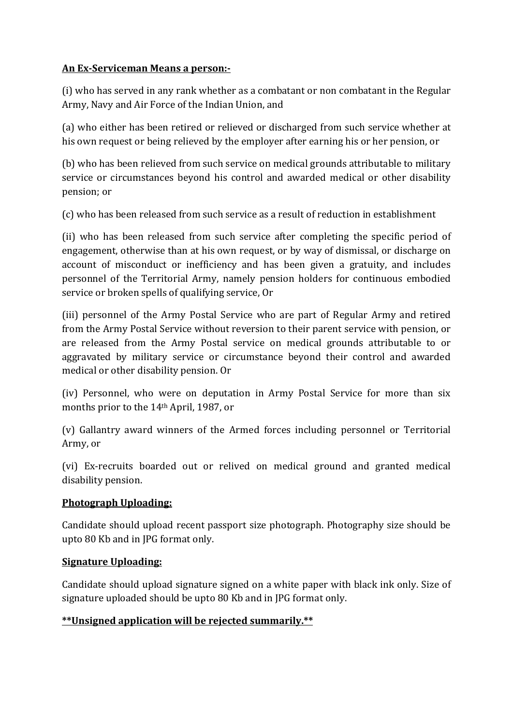### **An Ex-Serviceman Means a person:-**

(i) who has served in any rank whether as a combatant or non combatant in the Regular Army, Navy and Air Force of the Indian Union, and

(a) who either has been retired or relieved or discharged from such service whether at his own request or being relieved by the employer after earning his or her pension, or

(b) who has been relieved from such service on medical grounds attributable to military service or circumstances beyond his control and awarded medical or other disability pension; or

(c) who has been released from such service as a result of reduction in establishment

(ii) who has been released from such service after completing the specific period of engagement, otherwise than at his own request, or by way of dismissal, or discharge on account of misconduct or inefficiency and has been given a gratuity, and includes personnel of the Territorial Army, namely pension holders for continuous embodied service or broken spells of qualifying service, Or

(iii) personnel of the Army Postal Service who are part of Regular Army and retired from the Army Postal Service without reversion to their parent service with pension, or are released from the Army Postal service on medical grounds attributable to or aggravated by military service or circumstance beyond their control and awarded medical or other disability pension. Or

(iv) Personnel, who were on deputation in Army Postal Service for more than six months prior to the 14th April, 1987, or

(v) Gallantry award winners of the Armed forces including personnel or Territorial Army, or

(vi) Ex-recruits boarded out or relived on medical ground and granted medical disability pension.

## **Photograph Uploading:**

Candidate should upload recent passport size photograph. Photography size should be upto 80 Kb and in JPG format only.

## **Signature Uploading:**

Candidate should upload signature signed on a white paper with black ink only. Size of signature uploaded should be upto 80 Kb and in JPG format only.

## **\*\*Unsigned application will be rejected summarily.\*\***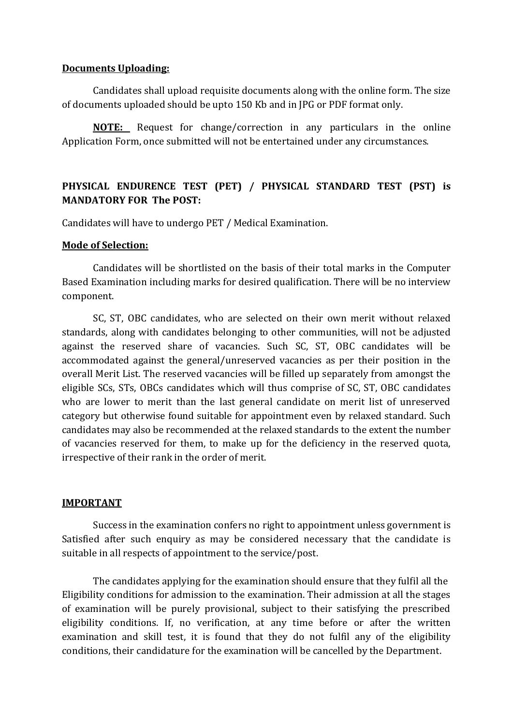#### **Documents Uploading:**

Candidates shall upload requisite documents along with the online form. The size of documents uploaded should be upto 150 Kb and in JPG or PDF format only.

**NOTE:** Request for change/correction in any particulars in the online Application Form, once submitted will not be entertained under any circumstances.

## **PHYSICAL ENDURENCE TEST (PET) / PHYSICAL STANDARD TEST (PST) is MANDATORY FOR The POST:**

Candidates will have to undergo PET / Medical Examination.

#### **Mode of Selection:**

Candidates will be shortlisted on the basis of their total marks in the Computer Based Examination including marks for desired qualification. There will be no interview component.

SC, ST, OBC candidates, who are selected on their own merit without relaxed standards, along with candidates belonging to other communities, will not be adjusted against the reserved share of vacancies. Such SC, ST, OBC candidates will be accommodated against the general/unreserved vacancies as per their position in the overall Merit List. The reserved vacancies will be filled up separately from amongst the eligible SCs, STs, OBCs candidates which will thus comprise of SC, ST, OBC candidates who are lower to merit than the last general candidate on merit list of unreserved category but otherwise found suitable for appointment even by relaxed standard. Such candidates may also be recommended at the relaxed standards to the extent the number of vacancies reserved for them, to make up for the deficiency in the reserved quota, irrespective of their rank in the order of merit.

#### **IMPORTANT**

Success in the examination confers no right to appointment unless government is Satisfied after such enquiry as may be considered necessary that the candidate is suitable in all respects of appointment to the service/post.

The candidates applying for the examination should ensure that they fulfil all the Eligibility conditions for admission to the examination. Their admission at all the stages of examination will be purely provisional, subject to their satisfying the prescribed eligibility conditions. If, no verification, at any time before or after the written examination and skill test, it is found that they do not fulfil any of the eligibility conditions, their candidature for the examination will be cancelled by the Department.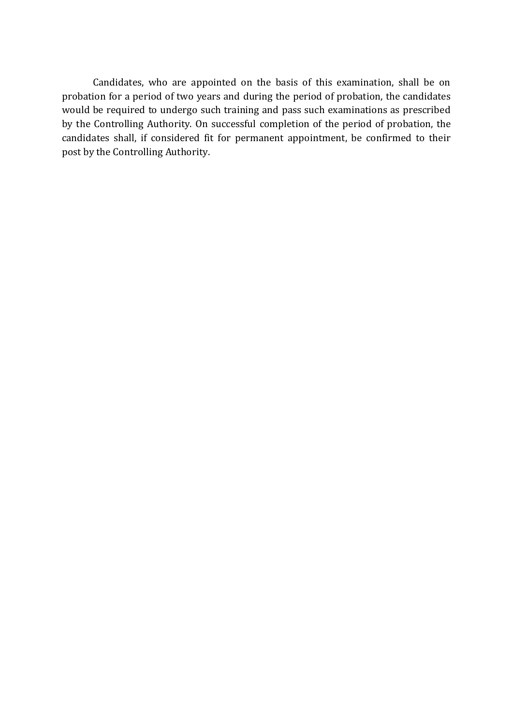Candidates, who are appointed on the basis of this examination, shall be on probation for a period of two years and during the period of probation, the candidates would be required to undergo such training and pass such examinations as prescribed by the Controlling Authority. On successful completion of the period of probation, the candidates shall, if considered fit for permanent appointment, be confirmed to their post by the Controlling Authority.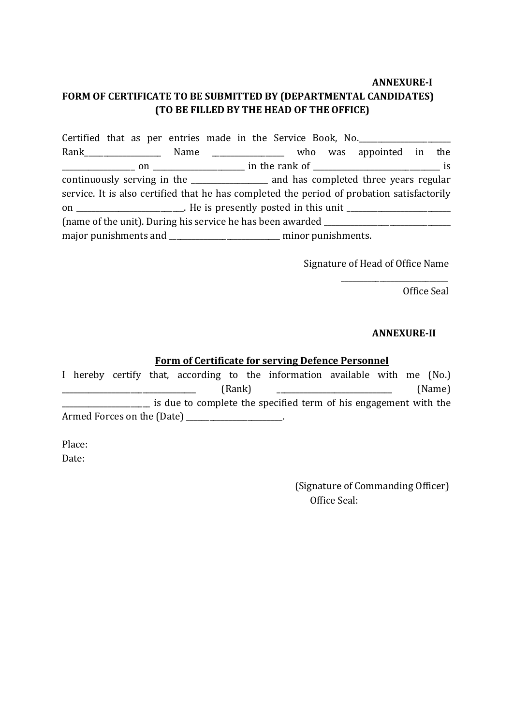# **ANNEXURE-I FORM OF CERTIFICATE TO BE SUBMITTED BY (DEPARTMENTAL CANDIDATES) (TO BE FILLED BY THE HEAD OF THE OFFICE)**

| Certified that as per entries made in the Service Book, No.                                |                                                                                    |  |  |  |  |  |  |
|--------------------------------------------------------------------------------------------|------------------------------------------------------------------------------------|--|--|--|--|--|--|
|                                                                                            |                                                                                    |  |  |  |  |  |  |
|                                                                                            |                                                                                    |  |  |  |  |  |  |
|                                                                                            | continuously serving in the ________________ and has completed three years regular |  |  |  |  |  |  |
| service. It is also certified that he has completed the period of probation satisfactorily |                                                                                    |  |  |  |  |  |  |
| on ______________________. He is presently posted in this unit __________________          |                                                                                    |  |  |  |  |  |  |
| (name of the unit). During his service he has been awarded _____________________           |                                                                                    |  |  |  |  |  |  |
| major punishments and __________________________ minor punishments.                        |                                                                                    |  |  |  |  |  |  |

Signature of Head of Office Name

\_\_\_\_\_\_\_\_\_\_\_\_\_\_\_\_\_\_\_\_\_\_\_\_\_\_\_\_ Office Seal

### **ANNEXURE-II**

## **Form of Certificate for serving Defence Personnel**

|                                                                  |  |  |  |  |  |  | I hereby certify that, according to the information available with me (No.) |  |        |  |
|------------------------------------------------------------------|--|--|--|--|--|--|-----------------------------------------------------------------------------|--|--------|--|
| (Rank)                                                           |  |  |  |  |  |  |                                                                             |  | (Name) |  |
| is due to complete the specified term of his engagement with the |  |  |  |  |  |  |                                                                             |  |        |  |
|                                                                  |  |  |  |  |  |  |                                                                             |  |        |  |

Place: Date:

> (Signature of Commanding Officer) Office Seal: